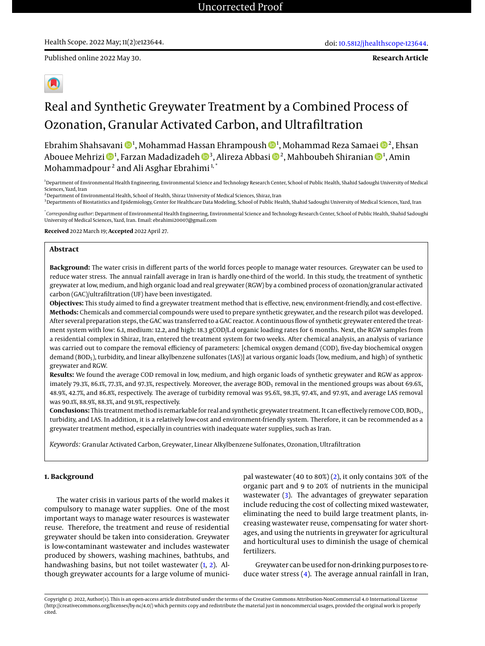**Research Article**



# Real and Synthetic Greywater Treatment by a Combined Process of Ozonation, Granular Activated Carbon, and Ultrafiltration

Ebrahim Shahsavani �� !, Mohammad Hassan Ehrampoush �� !, Mohammad Reza Samaei �� 2, Ehsan Abouee Mehrizi ��!, Farzan Madadizadeh ��3, Alireza Abbasi ��2, Mahboubeh Shiranian ��!, Amin Mohammadpour<sup>2</sup> and Ali Asghar Ebrahimi<sup>1,\*</sup>

<sup>1</sup>Department of Environmental Health Engineering, Environmental Science and Technology Research Center, School of Public Health, Shahid Sadoughi University of Medical Sciences, Yazd, Iran

 $^2$ Department of Environmental Health, School of Health, Shiraz University of Medical Sciences, Shiraz, Iran

<sup>3</sup> Departments of Biostatistics and Epidemiology, Center for Healthcare Data Modeling, School of Public Health, Shahid Sadoughi University of Medical Sciences, Yazd, Iran

\* *Corresponding author*: Department of Environmental Health Engineering, Environmental Science and Technology Research Center, School of Public Health, Shahid Sadoughi University of Medical Sciences, Yazd, Iran. Email: ebrahimi20007@gmail.com

**Received** 2022 March 19; **Accepted** 2022 April 27.

### **Abstract**

**Background:** The water crisis in different parts of the world forces people to manage water resources. Greywater can be used to reduce water stress. The annual rainfall average in Iran is hardly one-third of the world. In this study, the treatment of synthetic greywater at low, medium, and high organic load and real greywater (RGW) by a combined process of ozonation/granular activated carbon (GAC)/ultrafiltration (UF) have been investigated.

**Objectives:** This study aimed to find a greywater treatment method that is effective, new, environment-friendly, and cost-effective. **Methods:** Chemicals and commercial compounds were used to prepare synthetic greywater, and the research pilot was developed. After several preparation steps, the GAC was transferred to a GAC reactor. A continuous flow of synthetic greywater entered the treatment system with low: 6.1, medium: 12.2, and high: 18.3 gCOD/L.d organic loading rates for 6 months. Next, the RGW samples from a residential complex in Shiraz, Iran, entered the treatment system for two weeks. After chemical analysis, an analysis of variance was carried out to compare the removal efficiency of parameters: [chemical oxygen demand (COD), five-day biochemical oxygen demand (BOD<sub>5</sub>), turbidity, and linear alkylbenzene sulfonates (LAS)] at various organic loads (low, medium, and high) of synthetic greywater and RGW.

**Results:** We found the average COD removal in low, medium, and high organic loads of synthetic greywater and RGW as approximately 79.3%, 86.1%, 77.3%, and 97.3%, respectively. Moreover, the average BOD<sub>5</sub> removal in the mentioned groups was about 69.6%, 48.9%, 42.7%, and 86.8%, respectively. The average of turbidity removal was 95.6%, 98.3%, 97.4%, and 97.9%, and average LAS removal was 90.1%, 88.9%, 88.3%, and 91.9%, respectively.

**Conclusions:** This treatment method is remarkable for real and synthetic greywater treatment. It can effectively remove COD, BOD5, turbidity, and LAS. In addition, it is a relatively low-cost and environment-friendly system. Therefore, it can be recommended as a greywater treatment method, especially in countries with inadequate water supplies, such as Iran.

*Keywords:* Granular Activated Carbon, Greywater, Linear Alkylbenzene Sulfonates, Ozonation, Ultrafiltration

### **1. Background**

The water crisis in various parts of the world makes it compulsory to manage water supplies. One of the most important ways to manage water resources is wastewater reuse. Therefore, the treatment and reuse of residential greywater should be taken into consideration. Greywater is low-contaminant wastewater and includes wastewater produced by showers, washing machines, bathtubs, and handwashing basins, but not toilet wastewater [\(1,](#page-7-0) [2\)](#page-7-1). Although greywater accounts for a large volume of munici-

pal wastewater (40 to 80%) [\(2\)](#page-7-1), it only contains 30% of the organic part and 9 to 20% of nutrients in the municipal wastewater [\(3\)](#page-7-2). The advantages of greywater separation include reducing the cost of collecting mixed wastewater, eliminating the need to build large treatment plants, increasing wastewater reuse, compensating for water shortages, and using the nutrients in greywater for agricultural and horticultural uses to diminish the usage of chemical fertilizers.

Greywater can be used for non-drinking purposes to reduce water stress [\(4\)](#page-7-3). The average annual rainfall in Iran,

Copyright © 2022, Author(s). This is an open-access article distributed under the terms of the Creative Commons Attribution-NonCommercial 4.0 International License (http://creativecommons.org/licenses/by-nc/4.0/) which permits copy and redistribute the material just in noncommercial usages, provided the original work is properly cited.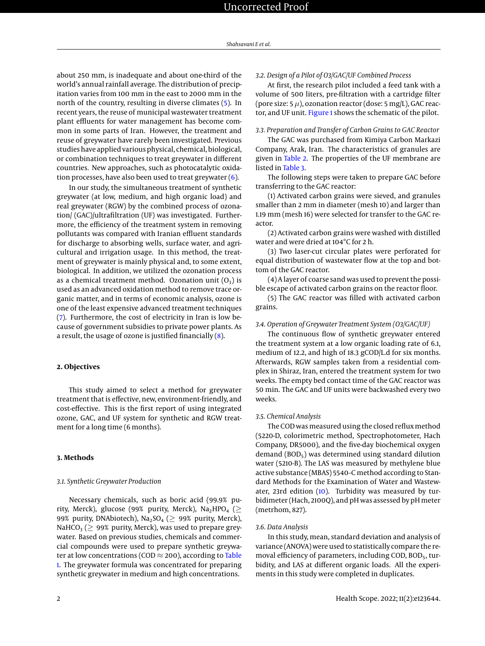about 250 mm, is inadequate and about one-third of the world's annual rainfall average. The distribution of precipitation varies from 100 mm in the east to 2000 mm in the north of the country, resulting in diverse climates [\(5\)](#page-7-4). In recent years, the reuse of municipal wastewater treatment plant effluents for water management has become common in some parts of Iran. However, the treatment and reuse of greywater have rarely been investigated. Previous studies have applied various physical, chemical, biological, or combination techniques to treat greywater in different countries. New approaches, such as photocatalytic oxidation processes, have also been used to treat greywater  $(6)$ .

In our study, the simultaneous treatment of synthetic greywater (at low, medium, and high organic load) and real greywater (RGW) by the combined process of ozonation/ (GAC)/ultrafiltration (UF) was investigated. Furthermore, the efficiency of the treatment system in removing pollutants was compared with Iranian effluent standards for discharge to absorbing wells, surface water, and agricultural and irrigation usage. In this method, the treatment of greywater is mainly physical and, to some extent, biological. In addition, we utilized the ozonation process as a chemical treatment method. Ozonation unit  $(O_3)$  is used as an advanced oxidation method to remove trace organic matter, and in terms of economic analysis, ozone is one of the least expensive advanced treatment techniques [\(7\)](#page-7-6). Furthermore, the cost of electricity in Iran is low because of government subsidies to private power plants. As a result, the usage of ozone is justified financially  $(8)$ .

#### **2. Objectives**

This study aimed to select a method for greywater treatment that is effective, new, environment-friendly, and cost-effective. This is the first report of using integrated ozone, GAC, and UF system for synthetic and RGW treatment for a long time (6 months).

### **3. Methods**

#### *3.1. Synthetic Greywater Production*

Necessary chemicals, such as boric acid (99.9% purity, Merck), glucose (99% purity, Merck), Na<sub>2</sub>HPO<sub>4</sub> ( $\geq$ 99% purity, DNAbiotech), Na<sub>2</sub>SO<sub>4</sub> ( $\geq$  99% purity, Merck), NaHCO<sub>3</sub> ( $>$  99% purity, Merck), was used to prepare greywater. Based on previous studies, chemicals and commercial compounds were used to prepare synthetic greywater at low concentrations (COD  $\approx$  200), according to [Table](#page-2-0) [1.](#page-2-0) The greywater formula was concentrated for preparing synthetic greywater in medium and high concentrations.

### *3.2. Design of a Pilot of O3/GAC/UF Combined Process*

At first, the research pilot included a feed tank with a volume of 500 liters, pre-filtration with a cartridge filter (pore size:  $5 \mu$ ), ozonation reactor (dose:  $5 \text{ mg/L}$ ), GAC reactor, and UF unit. [Figure 1](#page-2-1) shows the schematic of the pilot.

### *3.3. Preparation and Transfer of Carbon Grains to GAC Reactor*

The GAC was purchased from Kimiya Carbon Markazi Company, Arak, Iran. The characteristics of granules are given in [Table 2.](#page-3-0) The properties of the UF membrane are listed in [Table 3.](#page-3-1)

The following steps were taken to prepare GAC before transferring to the GAC reactor:

(1) Activated carbon grains were sieved, and granules smaller than 2 mm in diameter (mesh 10) and larger than 1.19 mm (mesh 16) were selected for transfer to the GAC reactor.

(2) Activated carbon grains were washed with distilled water and were dried at 104°C for 2 h.

(3) Two laser-cut circular plates were perforated for equal distribution of wastewater flow at the top and bottom of the GAC reactor.

(4) A layer of coarse sand was used to prevent the possible escape of activated carbon grains on the reactor floor.

(5) The GAC reactor was filled with activated carbon grains.

#### *3.4. Operation of Greywater Treatment System (O3/GAC/UF)*

The continuous flow of synthetic greywater entered the treatment system at a low organic loading rate of 6.1, medium of 12.2, and high of 18.3 gCOD/L.d for six months. Afterwards, RGW samples taken from a residential complex in Shiraz, Iran, entered the treatment system for two weeks. The empty bed contact time of the GAC reactor was 50 min. The GAC and UF units were backwashed every two weeks.

#### *3.5. Chemical Analysis*

The COD was measured using the closed reflux method (5220-D, colorimetric method, Spectrophotometer, Hach Company, DR5000), and the five-day biochemical oxygen demand ( $BOD<sub>5</sub>$ ) was determined using standard dilution water (5210-B). The LAS was measured by methylene blue active substance (MBAS) 5540–C method according to Standard Methods for the Examination of Water and Wastewater, 23rd edition [\(10\)](#page-7-8). Turbidity was measured by turbidimeter (Hach, 2100Q), and pH was assessed by pH meter (metrhom, 827).

### *3.6. Data Analysis*

In this study, mean, standard deviation and analysis of variance (ANOVA) were used to statistically compare the removal efficiency of parameters, including COD,  $BOD<sub>5</sub>$ , turbidity, and LAS at different organic loads. All the experiments in this study were completed in duplicates.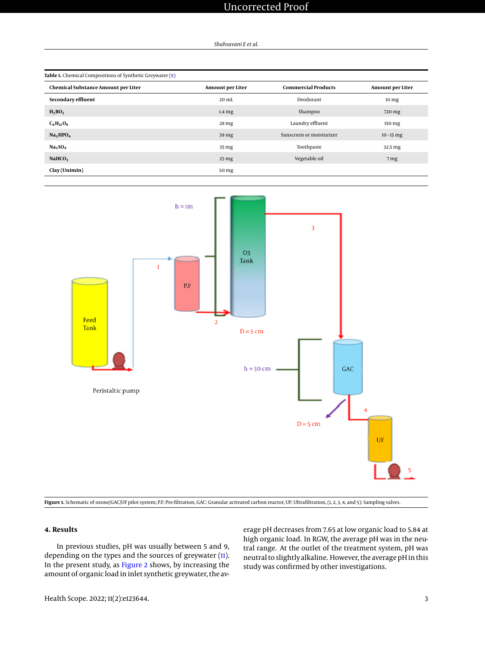*Shahsavani E et al.*

<span id="page-2-0"></span>

| Table 1. Chemical Compositions of Synthetic Greywater (9) |                         |                            |                         |  |  |
|-----------------------------------------------------------|-------------------------|----------------------------|-------------------------|--|--|
| <b>Chemical Substance Amount per Liter</b>                | <b>Amount per Liter</b> | <b>Commercial Products</b> | <b>Amount per Liter</b> |  |  |
| Secondary effluent                                        | $20 \text{ mL}$         | Deodorant                  | 10 <sub>mg</sub>        |  |  |
| $H_3BO_3$                                                 | $1.4 \mathrm{mg}$       | Shampoo                    | 720 mg                  |  |  |
| $C_6H_{12}O_6$                                            | 28 mg                   | Laundry effluent           | 150 mg                  |  |  |
| Na <sub>2</sub> HPO <sub>4</sub>                          | 39 mg                   | Sunscreen or moisturizer   | $10 - 15$ mg            |  |  |
| Na <sub>2</sub> SO <sub>4</sub>                           | 35 mg                   | Toothpaste                 | 32.5 mg                 |  |  |
| NAHCO <sub>3</sub>                                        | 25 <sub>mg</sub>        | Vegetable oil              | 7 <sub>mg</sub>         |  |  |
| Clay(Unimin)                                              | 50 mg                   |                            |                         |  |  |

<span id="page-2-1"></span>



### **4. Results**

In previous studies, pH was usually between 5 and 9, depending on the types and the sources of greywater [\(11\)](#page-7-10). In the present study, as [Figure 2](#page-3-2) shows, by increasing the amount of organic load in inlet synthetic greywater, the average pH decreases from 7.65 at low organic load to 5.84 at high organic load. In RGW, the average pH was in the neutral range. At the outlet of the treatment system, pH was neutral to slightly alkaline. However, the average pH in this study was confirmed by other investigations.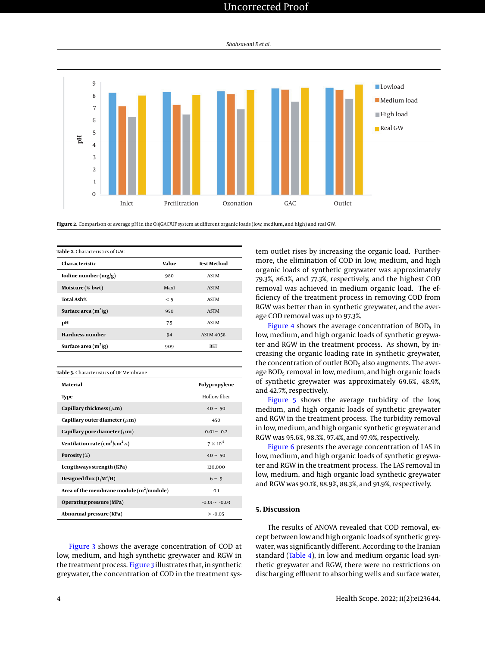*Shahsavani E et al.*

<span id="page-3-2"></span>

**Figure 2.** Comparison of average pH in the O3/GAC/UF system at different organic loads (low, medium, and high) and real GW.

<span id="page-3-0"></span>

| Table 2. Characteristics of GAC |       |                  |  |  |
|---------------------------------|-------|------------------|--|--|
| Characteristic                  | Value | Test Method      |  |  |
| Iodine number (mg/g)            | 980   | <b>ASTM</b>      |  |  |
| Moisture (% bwt)                | Max1  | <b>ASTM</b>      |  |  |
| Total Ash%                      | < 5   | <b>ASTM</b>      |  |  |
| Surface area $(m^2/g)$          | 950   | <b>ASTM</b>      |  |  |
| pН                              | 7.5   | <b>ASTM</b>      |  |  |
| <b>Hardness number</b>          | 94    | <b>ASTM 4058</b> |  |  |
| Surface area $(m^2/g)$          | 909   | BET              |  |  |
|                                 |       |                  |  |  |

<span id="page-3-1"></span>

| Table 3. Characteristics of UF Membrane          |                    |  |  |  |
|--------------------------------------------------|--------------------|--|--|--|
| Material                                         | Polypropylene      |  |  |  |
| <b>Type</b>                                      | Hollow fiber       |  |  |  |
| Capillary thickness ( $\mu$ m)                   | $40 \sim 50$       |  |  |  |
| Capillary outer diameter ( $\mu$ m)              | 450                |  |  |  |
| Capillary pore diameter ( $\mu$ m)               | $0.01 - 0.2$       |  |  |  |
| Ventilation rate ( $\text{cm}^3/\text{cm}^2$ .s) | $7 \times 10^{-2}$ |  |  |  |
| Porosity $(\%)$                                  | $40 \sim 50$       |  |  |  |
| Lengthways strength (KPa)                        | 120,000            |  |  |  |
| Designed flux $(L/M^2/H)$                        | $6 \sim 9$         |  |  |  |
| Area of the membrane module $(m^2/module)$       | 0.1                |  |  |  |
| Operating pressure (MPa)                         | $-0.01 - -0.03$    |  |  |  |
| Abnormal pressure (KPa)                          | $> -0.05$          |  |  |  |

[Figure 3](#page-4-0) shows the average concentration of COD at low, medium, and high synthetic greywater and RGW in the treatment process. [Figure 3](#page-4-0) illustrates that, in synthetic greywater, the concentration of COD in the treatment system outlet rises by increasing the organic load. Furthermore, the elimination of COD in low, medium, and high organic loads of synthetic greywater was approximately 79.3%, 86.1%, and 77.3%, respectively, and the highest COD removal was achieved in medium organic load. The efficiency of the treatment process in removing COD from RGW was better than in synthetic greywater, and the average COD removal was up to 97.3%.

[Figure 4](#page-4-1) shows the average concentration of  $BOD<sub>5</sub>$  in low, medium, and high organic loads of synthetic greywater and RGW in the treatment process. As shown, by increasing the organic loading rate in synthetic greywater, the concentration of outlet  $BOD<sub>5</sub>$  also augments. The average  $BOD<sub>5</sub>$  removal in low, medium, and high organic loads of synthetic greywater was approximately 69.6%, 48.9%, and 42.7%, respectively.

[Figure 5](#page-5-0) shows the average turbidity of the low, medium, and high organic loads of synthetic greywater and RGW in the treatment process. The turbidity removal in low, medium, and high organic synthetic greywater and RGW was 95.6%, 98.3%, 97.4%, and 97.9%, respectively.

[Figure 6](#page-5-1) presents the average concentration of LAS in low, medium, and high organic loads of synthetic greywater and RGW in the treatment process. The LAS removal in low, medium, and high organic load synthetic greywater and RGW was 90.1%, 88.9%, 88.3%, and 91.9%, respectively.

### **5. Discussion**

The results of ANOVA revealed that COD removal, except between low and high organic loads of synthetic greywater, was significantly different. According to the Iranian standard [\(Table 4\)](#page-5-2), in low and medium organic load synthetic greywater and RGW, there were no restrictions on discharging effluent to absorbing wells and surface water,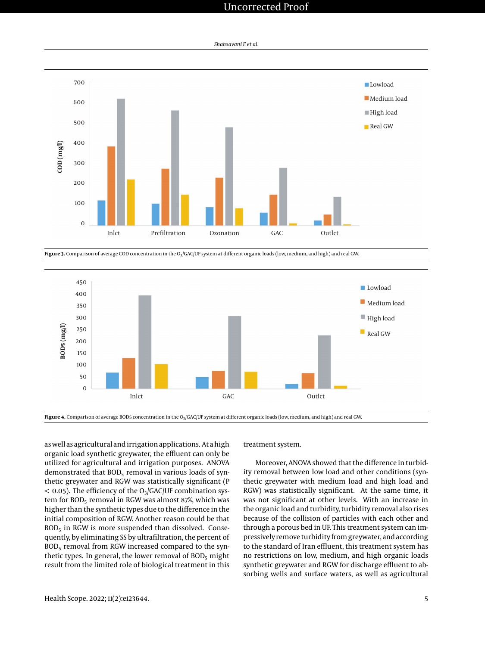<span id="page-4-0"></span>

*Shahsavani E et al.*

Figure 3. Comparison of average COD concentration in the O<sub>3</sub>/GAC/UF system at different organic loads (low, medium, and high) and real GW.

<span id="page-4-1"></span>

Figure 4. Comparison of average BOD5 concentration in the O<sub>3</sub>/GAC/UF system at different organic loads (low, medium, and high) and real GW.

as well as agricultural and irrigation applications. At a high organic load synthetic greywater, the effluent can only be utilized for agricultural and irrigation purposes. ANOVA demonstrated that BOD<sub>5</sub> removal in various loads of synthetic greywater and RGW was statistically significant (P  $<$  0.05). The efficiency of the O<sub>3</sub>/GAC/UF combination system for  $BOD<sub>5</sub>$  removal in RGW was almost 87%, which was higher than the synthetic types due to the difference in the initial composition of RGW. Another reason could be that  $BOD<sub>5</sub>$  in RGW is more suspended than dissolved. Consequently, by eliminating SS by ultrafiltration, the percent of  $BOD<sub>5</sub>$  removal from RGW increased compared to the synthetic types. In general, the lower removal of BOD<sub>5</sub> might result from the limited role of biological treatment in this

treatment system.

Moreover, ANOVA showed that the difference in turbidity removal between low load and other conditions (synthetic greywater with medium load and high load and RGW) was statistically significant. At the same time, it was not significant at other levels. With an increase in the organic load and turbidity, turbidity removal also rises because of the collision of particles with each other and through a porous bed in UF. This treatment system can impressively remove turbidity from greywater, and according to the standard of Iran effluent, this treatment system has no restrictions on low, medium, and high organic loads synthetic greywater and RGW for discharge effluent to absorbing wells and surface waters, as well as agricultural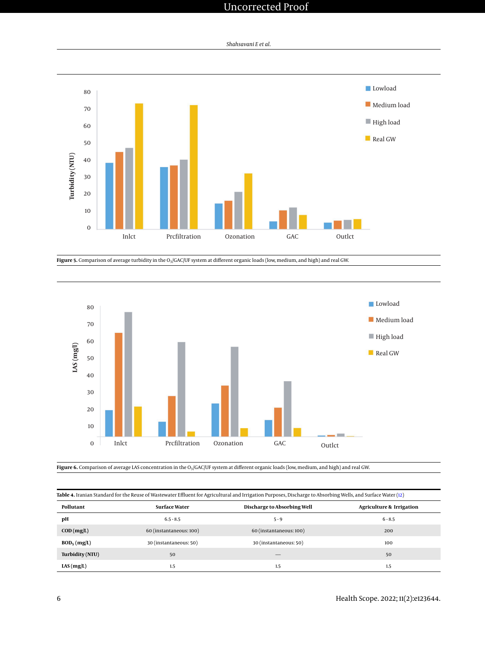*Shahsavani E et al.*

<span id="page-5-0"></span>

Figure 5. Comparison of average turbidity in the O<sub>3</sub>/GAC/UF system at different organic loads (low, medium, and high) and real GW.

<span id="page-5-1"></span>

Figure 6. Comparison of average LAS concentration in the O<sub>3</sub>/GAC/UF system at different organic loads (low, medium, and high) and real GW.

<span id="page-5-2"></span>**Table 4.** Iranian Standard for the Reuse of Wastewater Effluent for Agricultural and Irrigation Purposes, Discharge to Absorbing Wells, and Surface Water [\(12\)](#page-7-11)

| Pollutant                 | <b>Surface Water</b>    | Discharge to Absorbing Well | <b>Agriculture &amp; Irrigation</b> |
|---------------------------|-------------------------|-----------------------------|-------------------------------------|
| pН                        | $6.5 - 8.5$             | $5 - 9$                     | $6 - 8.5$                           |
| $\text{COD}(\text{mg/L})$ | 60 (instantaneous: 100) | 60 (instantaneous: 100)     | 200                                 |
| $BOD_5$ (mg/L)            | 30 (instantaneous: 50)  | 30 (instantaneous: 50)      | 100                                 |
| Turbidity (NTU)           | 50                      |                             | 50                                  |
| LAS(mg/L)                 | 1.5                     | 1.5                         | 1.5                                 |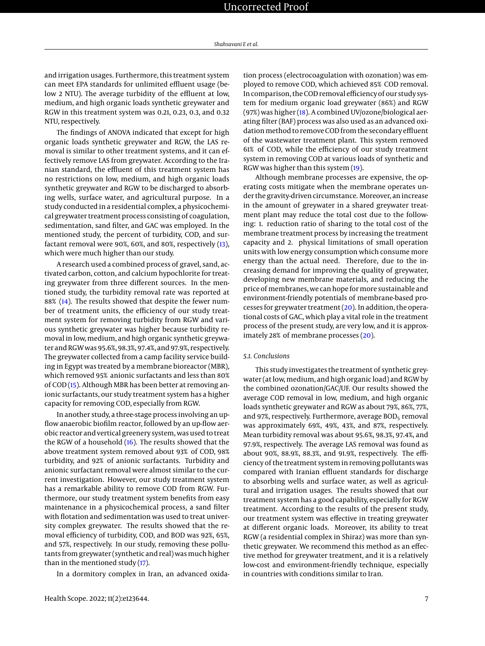and irrigation usages. Furthermore, this treatment system can meet EPA standards for unlimited effluent usage (below 2 NTU). The average turbidity of the effluent at low, medium, and high organic loads synthetic greywater and RGW in this treatment system was 0.21, 0.23, 0.3, and 0.32 NTU, respectively.

The findings of ANOVA indicated that except for high organic loads synthetic greywater and RGW, the LAS removal is similar to other treatment systems, and it can effectively remove LAS from greywater. According to the Iranian standard, the effluent of this treatment system has no restrictions on low, medium, and high organic loads synthetic greywater and RGW to be discharged to absorbing wells, surface water, and agricultural purpose. In a study conducted in a residential complex, a physicochemical greywater treatment process consisting of coagulation, sedimentation, sand filter, and GAC was employed. In the mentioned study, the percent of turbidity, COD, and surfactant removal were 90%, 60%, and 80%, respectively [\(13\)](#page-7-12), which were much higher than our study.

A research used a combined process of gravel, sand, activated carbon, cotton, and calcium hypochlorite for treating greywater from three different sources. In the mentioned study, the turbidity removal rate was reported at 88% [\(14\)](#page-7-13). The results showed that despite the fewer number of treatment units, the efficiency of our study treatment system for removing turbidity from RGW and various synthetic greywater was higher because turbidity removal in low, medium, and high organic synthetic greywater and RGW was 95.6%, 98.3%, 97.4%, and 97.9%, respectively. The greywater collected from a camp facility service building in Egypt was treated by a membrane bioreactor (MBR), which removed 95% anionic surfactants and less than 80% of COD [\(15\)](#page-7-14). Although MBR has been better at removing anionic surfactants, our study treatment system has a higher capacity for removing COD, especially from RGW.

In another study, a three-stage process involving an upflow anaerobic biofilm reactor, followed by an up-flow aerobic reactor and vertical greenery system, was used to treat the RGW of a household [\(16\)](#page-7-15). The results showed that the above treatment system removed about 93% of COD, 98% turbidity, and 92% of anionic surfactants. Turbidity and anionic surfactant removal were almost similar to the current investigation. However, our study treatment system has a remarkable ability to remove COD from RGW. Furthermore, our study treatment system benefits from easy maintenance in a physicochemical process, a sand filter with flotation and sedimentation was used to treat university complex greywater. The results showed that the removal efficiency of turbidity, COD, and BOD was 92%, 65%, and 57%, respectively. In our study, removing these pollutants from greywater (synthetic and real) was much higher than in the mentioned study [\(17\)](#page-7-16).

In a dormitory complex in Iran, an advanced oxida-

tion process (electrocoagulation with ozonation) was employed to remove COD, which achieved 85% COD removal. In comparison, the COD removal efficiency of our study system for medium organic load greywater (86%) and RGW (97%) was higher [\(18\)](#page-7-17). A combined UV/ozone/biological aerating filter (BAF) process was also used as an advanced oxidation method to remove COD from the secondary effluent of the wastewater treatment plant. This system removed 61% of COD, while the efficiency of our study treatment system in removing COD at various loads of synthetic and RGW was higher than this system [\(19\)](#page-7-18).

Although membrane processes are expensive, the operating costs mitigate when the membrane operates under the gravity-driven circumstance. Moreover, an increase in the amount of greywater in a shared greywater treatment plant may reduce the total cost due to the following: 1. reduction ratio of sharing to the total cost of the membrane treatment process by increasing the treatment capacity and 2. physical limitations of small operation units with low energy consumption which consume more energy than the actual need. Therefore, due to the increasing demand for improving the quality of greywater, developing new membrane materials, and reducing the price of membranes, we can hope for more sustainable and environment-friendly potentials of membrane-based processes for greywater treatment [\(20\)](#page-7-19). In addition, the operational costs of GAC, which play a vital role in the treatment process of the present study, are very low, and it is approximately 28% of membrane processes [\(20\)](#page-7-19).

### *5.1. Conclusions*

This study investigates the treatment of synthetic greywater (at low, medium, and high organic load) and RGW by the combined ozonation/GAC/UF. Our results showed the average COD removal in low, medium, and high organic loads synthetic greywater and RGW as about 79%, 86%, 77%, and 97%, respectively. Furthermore, average BOD<sub>5</sub> removal was approximately 69%, 49%, 43%, and 87%, respectively. Mean turbidity removal was about 95.6%, 98.3%, 97.4%, and 97.9%, respectively. The average LAS removal was found as about 90%, 88.9%, 88.3%, and 91.9%, respectively. The efficiency of the treatment system in removing pollutants was compared with Iranian effluent standards for discharge to absorbing wells and surface water, as well as agricultural and irrigation usages. The results showed that our treatment system has a good capability, especially for RGW treatment. According to the results of the present study, our treatment system was effective in treating greywater at different organic loads. Moreover, its ability to treat RGW (a residential complex in Shiraz) was more than synthetic greywater. We recommend this method as an effective method for greywater treatment, and it is a relatively low-cost and environment-friendly technique, especially in countries with conditions similar to Iran.